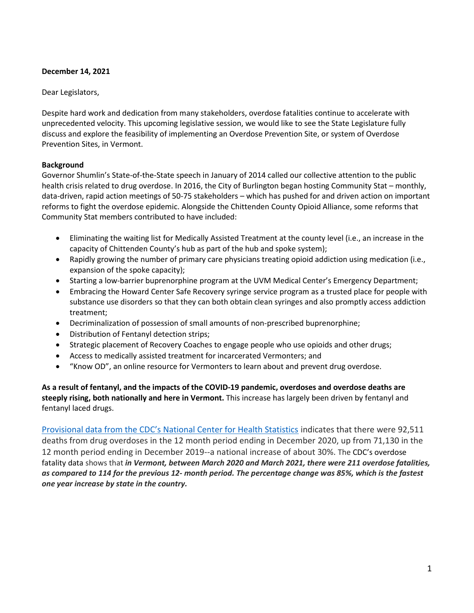## **December 14, 2021**

## Dear Legislators,

Despite hard work and dedication from many stakeholders, overdose fatalities continue to accelerate with unprecedented velocity. This upcoming legislative session, we would like to see the State Legislature fully discuss and explore the feasibility of implementing an Overdose Prevention Site, or system of Overdose Prevention Sites, in Vermont.

## **Background**

Governor Shumlin's State-of-the-State speech in January of 2014 called our collective attention to the public health crisis related to drug overdose. In 2016, the City of Burlington began hosting Community Stat – monthly, data-driven, rapid action meetings of 50-75 stakeholders – which has pushed for and driven action on important reforms to fight the overdose epidemic. Alongside the Chittenden County Opioid Alliance, some reforms that Community Stat members contributed to have included:

- Eliminating the waiting list for Medically Assisted Treatment at the county level (i.e., an increase in the capacity of Chittenden County's hub as part of the hub and spoke system);
- Rapidly growing the number of primary care physicians treating opioid addiction using medication (i.e., expansion of the spoke capacity);
- Starting a low-barrier buprenorphine program at the UVM Medical Center's Emergency Department;
- Embracing the Howard Center Safe Recovery syringe service program as a trusted place for people with substance use disorders so that they can both obtain clean syringes and also promptly access addiction treatment;
- Decriminalization of possession of small amounts of non-prescribed buprenorphine;
- Distribution of Fentanyl detection strips;
- Strategic placement of Recovery Coaches to engage people who use opioids and other drugs;
- Access to medically assisted treatment for incarcerated Vermonters; and
- "Know OD", an online resource for Vermonters to learn about and prevent drug overdose.

**As a result of fentanyl, and the impacts of the COVID-19 pandemic, overdoses and overdose deaths are steeply rising, both nationally and here in Vermont.** This increase has largely been driven by fentanyl and fentanyl laced drugs.

[Provisional data from the CDC's National Center for Health Statistics](https://www.cdc.gov/nchs/nvss/vsrr/drug-overdose-data.htm) indicates that there were 92,511 deaths from drug overdoses in the 12 month period ending in December 2020, up from 71,130 in the 12 month period ending in December 2019--a national increase of about 30%. The CDC's overdose fatality data shows that *in Vermont, between March 2020 and March 2021, there were 211 overdose fatalities, as compared to 114 for the previous 12- month period. The percentage change was 85%, which is the fastest one year increase by state in the country.*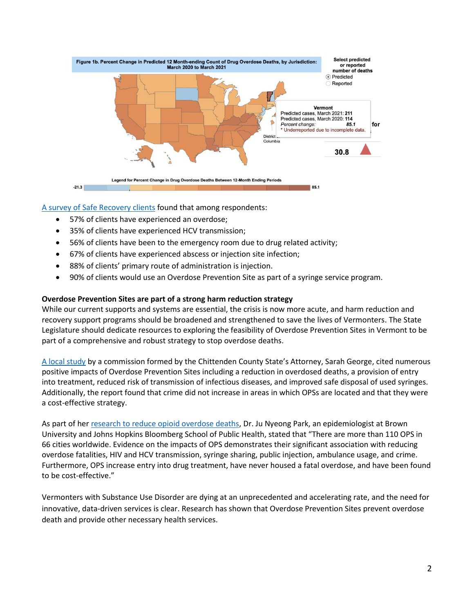

[A survey of Safe Recovery clients](https://legislature.vermont.gov/Documents/2018/WorkGroups/Senate%20Health%20and%20Welfare/Safe%20Injection%20Facilities/W~Sarah%20Evans~Supervised%20Injection%20Facilities%20Commission%20Findings~1-4-2018.pdf) found that among respondents:

- 57% of clients have experienced an overdose;
- 35% of clients have experienced HCV transmission;
- 56% of clients have been to the emergency room due to drug related activity;
- 67% of clients have experienced abscess or injection site infection;
- 88% of clients' primary route of administration is injection.
- 90% of clients would use an Overdose Prevention Site as part of a syringe service program.

## **Overdose Prevention Sites are part of a strong harm reduction strategy**

While our current supports and systems are essential, the crisis is now more acute, and harm reduction and recovery support programs should be broadened and strengthened to save the lives of Vermonters. The State Legislature should dedicate resources to exploring the feasibility of Overdose Prevention Sites in Vermont to be part of a comprehensive and robust strategy to stop overdose deaths.

[A local study](https://legislature.vermont.gov/Documents/2018/WorkGroups/Senate%20Health%20and%20Welfare/Safe%20Injection%20Facilities/W~Sarah%20Evans~Supervised%20Injection%20Facilities%20Commission%20Findings~1-4-2018.pdf) by a commission formed by the Chittenden County State's Attorney, Sarah George, cited numerous positive impacts of Overdose Prevention Sites including a reduction in overdosed deaths, a provision of entry into treatment, reduced risk of transmission of infectious diseases, and improved safe disposal of used syringes. Additionally, the report found that crime did not increase in areas in which OPSs are located and that they were a cost-effective strategy.

As part of he[r research to reduce opioid overdose deaths,](https://www.opioidlibrary.org/wp-content/uploads/2020/08/Park_OverdoseRiskSDH_Milbank_2020.pdf) Dr. Ju Nyeong Park, an epidemiologist at Brown University and Johns Hopkins Bloomberg School of Public Health, stated that "There are more than 110 OPS in 66 cities worldwide. Evidence on the impacts of OPS demonstrates their significant association with reducing overdose fatalities, HIV and HCV transmission, syringe sharing, public injection, ambulance usage, and crime. Furthermore, OPS increase entry into drug treatment, have never housed a fatal overdose, and have been found to be cost-effective."

Vermonters with Substance Use Disorder are dying at an unprecedented and accelerating rate, and the need for innovative, data-driven services is clear. Research has shown that Overdose Prevention Sites prevent overdose death and provide other necessary health services.